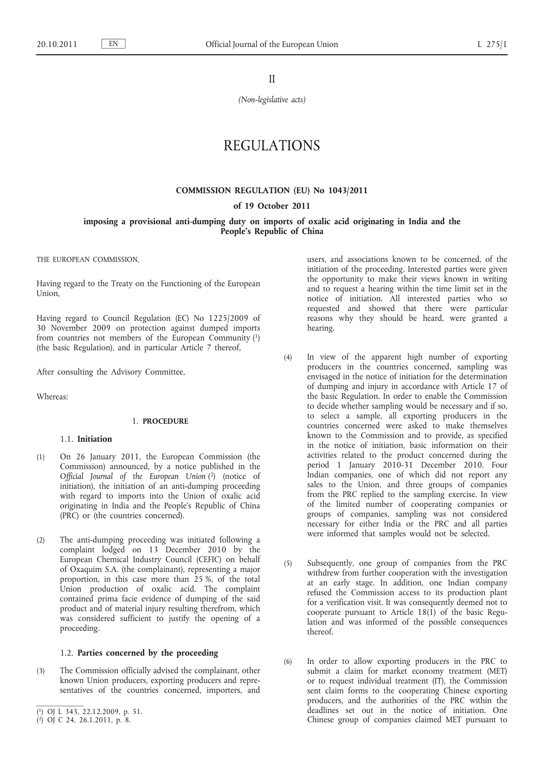II

*(Non-legislative acts)*

# REGULATIONS

## **COMMISSION REGULATION (EU) No 1043/2011**

**of 19 October 2011**

**imposing a provisional anti-dumping duty on imports of oxalic acid originating in India and the People's Republic of China**

THE EUROPEAN COMMISSION,

Having regard to the Treaty on the Functioning of the European Union,

Having regard to Council Regulation (EC) No 1225/2009 of 30 November 2009 on protection against dumped imports from countries not members of the European Community (1) (the basic Regulation), and in particular Article 7 thereof,

After consulting the Advisory Committee,

Whereas:

## 1. **PROCEDURE**

## 1.1. **Initiation**

- (1) On 26 January 2011, the European Commission (the Commission) announced, by a notice published in the *Official Journal of the European Union* (2) (notice of initiation), the initiation of an anti-dumping proceeding with regard to imports into the Union of oxalic acid originating in India and the People's Republic of China (PRC) or (the countries concerned).
- (2) The anti-dumping proceeding was initiated following a complaint lodged on 13 December 2010 by the European Chemical Industry Council (CEFIC) on behalf of Oxaquim S.A. (the complainant), representing a major proportion, in this case more than 25 %, of the total Union production of oxalic acid. The complaint contained prima facie evidence of dumping of the said product and of material injury resulting therefrom, which was considered sufficient to justify the opening of a proceeding.

## 1.2. **Parties concerned by the proceeding**

(3) The Commission officially advised the complainant, other known Union producers, exporting producers and representatives of the countries concerned, importers, and users, and associations known to be concerned, of the initiation of the proceeding. Interested parties were given the opportunity to make their views known in writing and to request a hearing within the time limit set in the notice of initiation. All interested parties who so requested and showed that there were particular reasons why they should be heard, were granted a hearing.

- (4) In view of the apparent high number of exporting producers in the countries concerned, sampling was envisaged in the notice of initiation for the determination of dumping and injury in accordance with Article 17 of the basic Regulation. In order to enable the Commission to decide whether sampling would be necessary and if so, to select a sample, all exporting producers in the countries concerned were asked to make themselves known to the Commission and to provide, as specified in the notice of initiation, basic information on their activities related to the product concerned during the period 1 January 2010-31 December 2010. Four Indian companies, one of which did not report any sales to the Union, and three groups of companies from the PRC replied to the sampling exercise. In view of the limited number of cooperating companies or groups of companies, sampling was not considered necessary for either India or the PRC and all parties were informed that samples would not be selected.
- (5) Subsequently, one group of companies from the PRC withdrew from further cooperation with the investigation at an early stage. In addition, one Indian company refused the Commission access to its production plant for a verification visit. It was consequently deemed not to cooperate pursuant to Article 18(1) of the basic Regulation and was informed of the possible consequences thereof.
- (6) In order to allow exporting producers in the PRC to submit a claim for market economy treatment (MET) or to request individual treatment (IT), the Commission sent claim forms to the cooperating Chinese exporting producers, and the authorities of the PRC within the deadlines set out in the notice of initiation. One Chinese group of companies claimed MET pursuant to

<sup>(</sup> 1) OJ L 343, 22.12.2009, p. 51.

<sup>(</sup> 2) OJ C 24, 26.1.2011, p. 8.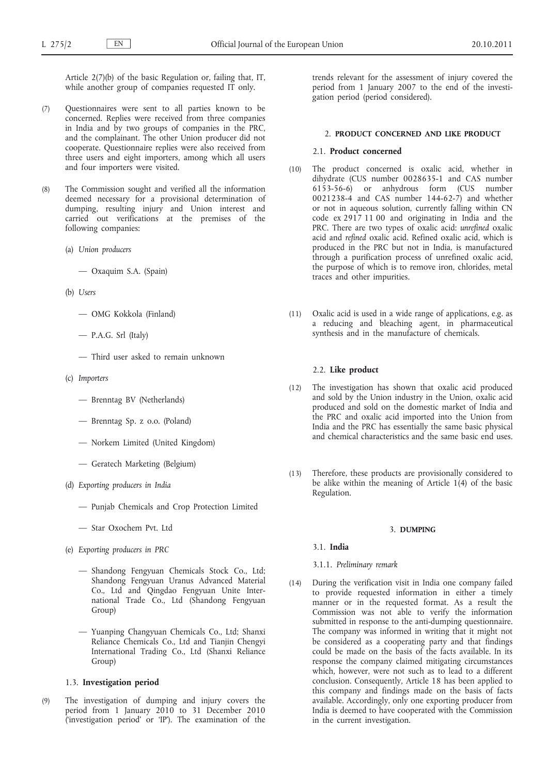Article 2(7)(b) of the basic Regulation or, failing that, IT, while another group of companies requested IT only.

- (7) Questionnaires were sent to all parties known to be concerned. Replies were received from three companies in India and by two groups of companies in the PRC, and the complainant. The other Union producer did not cooperate. Questionnaire replies were also received from three users and eight importers, among which all users and four importers were visited.
- (8) The Commission sought and verified all the information deemed necessary for a provisional determination of dumping, resulting injury and Union interest and carried out verifications at the premises of the following companies:
	- (a) *Union producers*
		- Oxaquim S.A. (Spain)
	- (b) *Users*
		- OMG Kokkola (Finland)
		- P.A.G. Srl (Italy)
		- Third user asked to remain unknown
	- (c) *Importers*
		- Brenntag BV (Netherlands)
		- Brenntag Sp. z o.o. (Poland)
		- Norkem Limited (United Kingdom)
		- Geratech Marketing (Belgium)
	- (d) *Exporting producers in India*
		- Punjab Chemicals and Crop Protection Limited
		- Star Oxochem Pvt. Ltd
	- (e) *Exporting producers in PRC*
		- Shandong Fengyuan Chemicals Stock Co., Ltd; Shandong Fengyuan Uranus Advanced Material Co., Ltd and Qingdao Fengyuan Unite International Trade Co., Ltd (Shandong Fengyuan Group)
		- Yuanping Changyuan Chemicals Co., Ltd; Shanxi Reliance Chemicals Co., Ltd and Tianjin Chengyi International Trading Co., Ltd (Shanxi Reliance Group)

### 1.3. **Investigation period**

(9) The investigation of dumping and injury covers the period from 1 January 2010 to 31 December 2010 ('investigation period' or 'IP'). The examination of the trends relevant for the assessment of injury covered the period from 1 January 2007 to the end of the investigation period (period considered).

#### 2. **PRODUCT CONCERNED AND LIKE PRODUCT**

### 2.1. **Product concerned**

- (10) The product concerned is oxalic acid, whether in dihydrate (CUS number 0028635-1 and CAS number 6153-56-6) or anhydrous form (CUS number 0021238-4 and CAS number 144-62-7) and whether or not in aqueous solution, currently falling within CN code ex 2917 11 00 and originating in India and the PRC. There are two types of oxalic acid: *unrefined* oxalic acid and *refined* oxalic acid. Refined oxalic acid, which is produced in the PRC but not in India, is manufactured through a purification process of unrefined oxalic acid, the purpose of which is to remove iron, chlorides, metal traces and other impurities.
- (11) Oxalic acid is used in a wide range of applications, e.g. as a reducing and bleaching agent, in pharmaceutical synthesis and in the manufacture of chemicals.

## 2.2. **Like product**

- (12) The investigation has shown that oxalic acid produced and sold by the Union industry in the Union, oxalic acid produced and sold on the domestic market of India and the PRC and oxalic acid imported into the Union from India and the PRC has essentially the same basic physical and chemical characteristics and the same basic end uses.
- (13) Therefore, these products are provisionally considered to be alike within the meaning of Article 1(4) of the basic Regulation.

## 3. **DUMPING**

#### 3.1. **India**

### 3.1.1. *Preliminary remark*

(14) During the verification visit in India one company failed to provide requested information in either a timely manner or in the requested format. As a result the Commission was not able to verify the information submitted in response to the anti-dumping questionnaire. The company was informed in writing that it might not be considered as a cooperating party and that findings could be made on the basis of the facts available. In its response the company claimed mitigating circumstances which, however, were not such as to lead to a different conclusion. Consequently, Article 18 has been applied to this company and findings made on the basis of facts available. Accordingly, only one exporting producer from India is deemed to have cooperated with the Commission in the current investigation.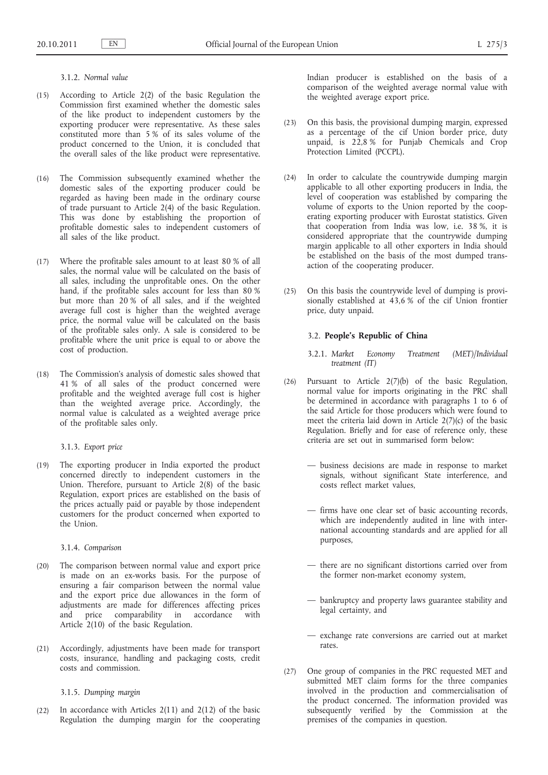3.1.2. *Normal value*

- (15) According to Article 2(2) of the basic Regulation the Commission first examined whether the domestic sales of the like product to independent customers by the exporting producer were representative. As these sales constituted more than 5 % of its sales volume of the product concerned to the Union, it is concluded that the overall sales of the like product were representative.
- (16) The Commission subsequently examined whether the domestic sales of the exporting producer could be regarded as having been made in the ordinary course of trade pursuant to Article 2(4) of the basic Regulation. This was done by establishing the proportion of profitable domestic sales to independent customers of all sales of the like product.
- (17) Where the profitable sales amount to at least 80 % of all sales, the normal value will be calculated on the basis of all sales, including the unprofitable ones. On the other hand, if the profitable sales account for less than 80 % but more than 20 % of all sales, and if the weighted average full cost is higher than the weighted average price, the normal value will be calculated on the basis of the profitable sales only. A sale is considered to be profitable where the unit price is equal to or above the cost of production.
- (18) The Commission's analysis of domestic sales showed that 41 % of all sales of the product concerned were profitable and the weighted average full cost is higher than the weighted average price. Accordingly, the normal value is calculated as a weighted average price of the profitable sales only.

3.1.3. *Export price*

(19) The exporting producer in India exported the product concerned directly to independent customers in the Union. Therefore, pursuant to Article 2(8) of the basic Regulation, export prices are established on the basis of the prices actually paid or payable by those independent customers for the product concerned when exported to the Union.

3.1.4. *Comparison*

- (20) The comparison between normal value and export price is made on an ex-works basis. For the purpose of ensuring a fair comparison between the normal value and the export price due allowances in the form of adjustments are made for differences affecting prices and price comparability in accordance with Article 2(10) of the basic Regulation.
- (21) Accordingly, adjustments have been made for transport costs, insurance, handling and packaging costs, credit costs and commission.

3.1.5. *Dumping margin*

(22) In accordance with Articles 2(11) and 2(12) of the basic Regulation the dumping margin for the cooperating Indian producer is established on the basis of a comparison of the weighted average normal value with the weighted average export price.

- (23) On this basis, the provisional dumping margin, expressed as a percentage of the cif Union border price, duty unpaid, is 22,8 % for Punjab Chemicals and Crop Protection Limited (PCCPL).
- (24) In order to calculate the countrywide dumping margin applicable to all other exporting producers in India, the level of cooperation was established by comparing the volume of exports to the Union reported by the cooperating exporting producer with Eurostat statistics. Given that cooperation from India was low, i.e. 38 %, it is considered appropriate that the countrywide dumping margin applicable to all other exporters in India should be established on the basis of the most dumped transaction of the cooperating producer.
- (25) On this basis the countrywide level of dumping is provisionally established at 43,6 % of the cif Union frontier price, duty unpaid.

## 3.2. **People's Republic of China**

- 3.2.1. *Market Economy Treatment (MET)/Individual treatment (IT)*
- (26) Pursuant to Article 2(7)(b) of the basic Regulation, normal value for imports originating in the PRC shall be determined in accordance with paragraphs 1 to 6 of the said Article for those producers which were found to meet the criteria laid down in Article 2(7)(c) of the basic Regulation. Briefly and for ease of reference only, these criteria are set out in summarised form below:
	- business decisions are made in response to market signals, without significant State interference, and costs reflect market values,
	- firms have one clear set of basic accounting records, which are independently audited in line with international accounting standards and are applied for all purposes,
	- there are no significant distortions carried over from the former non-market economy system,
	- bankruptcy and property laws guarantee stability and legal certainty, and
	- exchange rate conversions are carried out at market rates.
- (27) One group of companies in the PRC requested MET and submitted MET claim forms for the three companies involved in the production and commercialisation of the product concerned. The information provided was subsequently verified by the Commission at the premises of the companies in question.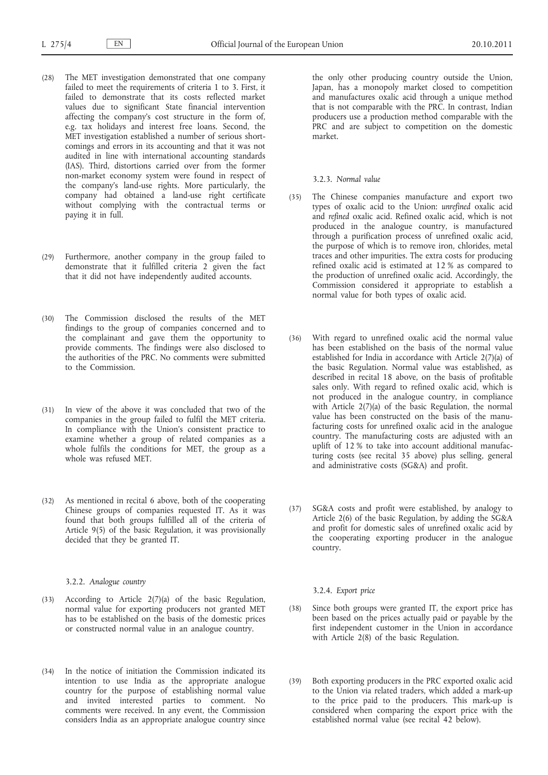- (28) The MET investigation demonstrated that one company failed to meet the requirements of criteria 1 to 3. First, it failed to demonstrate that its costs reflected market values due to significant State financial intervention affecting the company's cost structure in the form of, e.g. tax holidays and interest free loans. Second, the MET investigation established a number of serious shortcomings and errors in its accounting and that it was not audited in line with international accounting standards (IAS). Third, distortions carried over from the former non-market economy system were found in respect of the company's land-use rights. More particularly, the company had obtained a land-use right certificate without complying with the contractual terms or paying it in full.
- (29) Furthermore, another company in the group failed to demonstrate that it fulfilled criteria 2 given the fact that it did not have independently audited accounts.
- (30) The Commission disclosed the results of the MET findings to the group of companies concerned and to the complainant and gave them the opportunity to provide comments. The findings were also disclosed to the authorities of the PRC. No comments were submitted to the Commission.
- (31) In view of the above it was concluded that two of the companies in the group failed to fulfil the MET criteria. In compliance with the Union's consistent practice to examine whether a group of related companies as a whole fulfils the conditions for MET, the group as a whole was refused MET.
- (32) As mentioned in recital 6 above, both of the cooperating Chinese groups of companies requested IT. As it was found that both groups fulfilled all of the criteria of Article 9(5) of the basic Regulation, it was provisionally decided that they be granted IT.

## 3.2.2. *Analogue country*

- (33) According to Article 2(7)(a) of the basic Regulation, normal value for exporting producers not granted MET has to be established on the basis of the domestic prices or constructed normal value in an analogue country.
- (34) In the notice of initiation the Commission indicated its intention to use India as the appropriate analogue country for the purpose of establishing normal value and invited interested parties to comment. No comments were received. In any event, the Commission considers India as an appropriate analogue country since

the only other producing country outside the Union, Japan, has a monopoly market closed to competition and manufactures oxalic acid through a unique method that is not comparable with the PRC. In contrast, Indian producers use a production method comparable with the PRC and are subject to competition on the domestic market.

### 3.2.3. *Normal value*

- (35) The Chinese companies manufacture and export two types of oxalic acid to the Union: *unrefined* oxalic acid and *refined* oxalic acid. Refined oxalic acid, which is not produced in the analogue country, is manufactured through a purification process of unrefined oxalic acid, the purpose of which is to remove iron, chlorides, metal traces and other impurities. The extra costs for producing refined oxalic acid is estimated at 12 % as compared to the production of unrefined oxalic acid. Accordingly, the Commission considered it appropriate to establish a normal value for both types of oxalic acid.
- (36) With regard to unrefined oxalic acid the normal value has been established on the basis of the normal value established for India in accordance with Article 2(7)(a) of the basic Regulation. Normal value was established, as described in recital 18 above, on the basis of profitable sales only. With regard to refined oxalic acid, which is not produced in the analogue country, in compliance with Article 2(7)(a) of the basic Regulation, the normal value has been constructed on the basis of the manufacturing costs for unrefined oxalic acid in the analogue country. The manufacturing costs are adjusted with an uplift of 12 % to take into account additional manufacturing costs (see recital 35 above) plus selling, general and administrative costs (SG&A) and profit.
- (37) SG&A costs and profit were established, by analogy to Article 2(6) of the basic Regulation, by adding the SG&A and profit for domestic sales of unrefined oxalic acid by the cooperating exporting producer in the analogue country.

3.2.4. *Export price*

- (38) Since both groups were granted IT, the export price has been based on the prices actually paid or payable by the first independent customer in the Union in accordance with Article 2(8) of the basic Regulation.
- (39) Both exporting producers in the PRC exported oxalic acid to the Union via related traders, which added a mark-up to the price paid to the producers. This mark-up is considered when comparing the export price with the established normal value (see recital 42 below).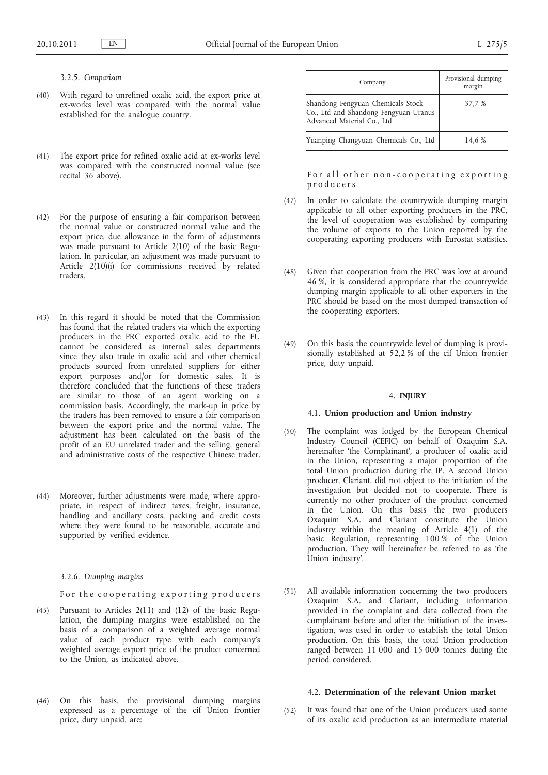## 3.2.5. *Comparison*

- (40) With regard to unrefined oxalic acid, the export price at ex-works level was compared with the normal value established for the analogue country.
- (41) The export price for refined oxalic acid at ex-works level was compared with the constructed normal value (see recital 36 above).
- (42) For the purpose of ensuring a fair comparison between the normal value or constructed normal value and the export price, due allowance in the form of adjustments was made pursuant to Article 2(10) of the basic Regulation. In particular, an adjustment was made pursuant to Article  $2(10)(i)$  for commissions received by related traders.
- (43) In this regard it should be noted that the Commission has found that the related traders via which the exporting producers in the PRC exported oxalic acid to the EU cannot be considered as internal sales departments since they also trade in oxalic acid and other chemical products sourced from unrelated suppliers for either export purposes and/or for domestic sales. It is therefore concluded that the functions of these traders are similar to those of an agent working on a commission basis. Accordingly, the mark-up in price by the traders has been removed to ensure a fair comparison between the export price and the normal value. The adjustment has been calculated on the basis of the profit of an EU unrelated trader and the selling, general and administrative costs of the respective Chinese trader.
- (44) Moreover, further adjustments were made, where appropriate, in respect of indirect taxes, freight, insurance, handling and ancillary costs, packing and credit costs where they were found to be reasonable, accurate and supported by verified evidence.

3.2.6. *Dumping margins*

## For the cooperating exporting producers

- (45) Pursuant to Articles 2(11) and (12) of the basic Regulation, the dumping margins were established on the basis of a comparison of a weighted average normal value of each product type with each company's weighted average export price of the product concerned to the Union, as indicated above.
- (46) On this basis, the provisional dumping margins expressed as a percentage of the cif Union frontier price, duty unpaid, are:

| Company                                                                                                  | Provisional dumping<br>margin |
|----------------------------------------------------------------------------------------------------------|-------------------------------|
| Shandong Fengyuan Chemicals Stock<br>Co., Ltd and Shandong Fengyuan Uranus<br>Advanced Material Co., Ltd | 37,7 %                        |
| Yuanping Changyuan Chemicals Co., Ltd                                                                    | 14,6 %                        |

For all other non-cooperating exporting p r o d u c e r s

- (47) In order to calculate the countrywide dumping margin applicable to all other exporting producers in the PRC, the level of cooperation was established by comparing the volume of exports to the Union reported by the cooperating exporting producers with Eurostat statistics.
- (48) Given that cooperation from the PRC was low at around 46 %, it is considered appropriate that the countrywide dumping margin applicable to all other exporters in the PRC should be based on the most dumped transaction of the cooperating exporters.
- (49) On this basis the countrywide level of dumping is provisionally established at 52,2 % of the cif Union frontier price, duty unpaid.

### 4. **INJURY**

#### 4.1. **Union production and Union industry**

- (50) The complaint was lodged by the European Chemical Industry Council (CEFIC) on behalf of Oxaquim S.A. hereinafter 'the Complainant', a producer of oxalic acid in the Union, representing a major proportion of the total Union production during the IP. A second Union producer, Clariant, did not object to the initiation of the investigation but decided not to cooperate. There is currently no other producer of the product concerned in the Union. On this basis the two producers Oxaquim S.A. and Clariant constitute the Union industry within the meaning of Article 4(1) of the basic Regulation, representing 100 % of the Union production. They will hereinafter be referred to as 'the Union industry'.
- (51) All available information concerning the two producers Oxaquim S.A. and Clariant, including information provided in the complaint and data collected from the complainant before and after the initiation of the investigation, was used in order to establish the total Union production. On this basis, the total Union production ranged between 11 000 and 15 000 tonnes during the period considered.

## 4.2. **Determination of the relevant Union market**

(52) It was found that one of the Union producers used some of its oxalic acid production as an intermediate material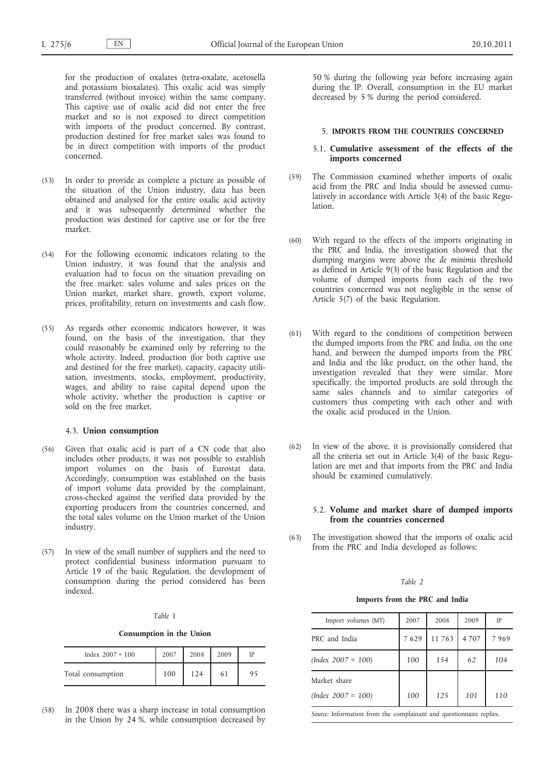for the production of oxalates (tetra-oxalate, acetosella and potassium bioxalates). This oxalic acid was simply transferred (without invoice) within the same company. This captive use of oxalic acid did not enter the free market and so is not exposed to direct competition with imports of the product concerned. By contrast, production destined for free market sales was found to be in direct competition with imports of the product concerned.

- (53) In order to provide as complete a picture as possible of the situation of the Union industry, data has been obtained and analysed for the entire oxalic acid activity and it was subsequently determined whether the production was destined for captive use or for the free market.
- (54) For the following economic indicators relating to the Union industry, it was found that the analysis and evaluation had to focus on the situation prevailing on the free market: sales volume and sales prices on the Union market, market share, growth, export volume, prices, profitability, return on investments and cash flow.
- (55) As regards other economic indicators however, it was found, on the basis of the investigation, that they could reasonably be examined only by referring to the whole activity. Indeed, production (for both captive use and destined for the free market), capacity, capacity utilisation, investments, stocks, employment, productivity, wages, and ability to raise capital depend upon the whole activity, whether the production is captive or sold on the free market.

### 4.3. **Union consumption**

- (56) Given that oxalic acid is part of a CN code that also includes other products, it was not possible to establish import volumes on the basis of Eurostat data. Accordingly, consumption was established on the basis of import volume data provided by the complainant, cross-checked against the verified data provided by the exporting producers from the countries concerned, and the total sales volume on the Union market of the Union industry.
- (57) In view of the small number of suppliers and the need to protect confidential business information pursuant to Article 19 of the basic Regulation, the development of consumption during the period considered has been indexed.

### *Table 1*

**Consumption in the Union**

| Index $2007 = 100$ | 2007 | 2008 | 2009 | IP |
|--------------------|------|------|------|----|
| Total consumption  | 100  | 124  | 61   | 95 |

(58) In 2008 there was a sharp increase in total consumption in the Union by 24 %, while consumption decreased by

50 % during the following year before increasing again during the IP. Overall, consumption in the EU market decreased by 5 % during the period considered.

#### 5. **IMPORTS FROM THE COUNTRIES CONCERNED**

### 5.1. **Cumulative assessment of the effects of the imports concerned**

- (59) The Commission examined whether imports of oxalic acid from the PRC and India should be assessed cumulatively in accordance with Article 3(4) of the basic Regulation.
- (60) With regard to the effects of the imports originating in the PRC and India, the investigation showed that the dumping margins were above the *de minimis* threshold as defined in Article 9(3) of the basic Regulation and the volume of dumped imports from each of the two countries concerned was not negligible in the sense of Article 5(7) of the basic Regulation.
- (61) With regard to the conditions of competition between the dumped imports from the PRC and India, on the one hand, and between the dumped imports from the PRC and India and the like product, on the other hand, the investigation revealed that they were similar. More specifically, the imported products are sold through the same sales channels and to similar categories of customers thus competing with each other and with the oxalic acid produced in the Union.
- (62) In view of the above, it is provisionally considered that all the criteria set out in Article 3(4) of the basic Regulation are met and that imports from the PRC and India should be examined cumulatively.

## 5.2. **Volume and market share of dumped imports from the countries concerned**

(63) The investigation showed that the imports of oxalic acid from the PRC and India developed as follows:

#### *Table 2*

### **Imports from the PRC and India**

| Import volumes (MT)  | 2007 | 2008   | 2009    | IP   |
|----------------------|------|--------|---------|------|
| PRC and India        | 7629 | 11 763 | 4 7 0 7 | 7969 |
| $(Index 2007 = 100)$ | 100  | 154    | 62      | 104  |
| Market share         |      |        |         |      |
| $(Index 2007 = 100)$ | 100  | 125    | 101     | 110  |
|                      |      |        |         |      |

*Source:* Information from the complainant and questionnaire replies.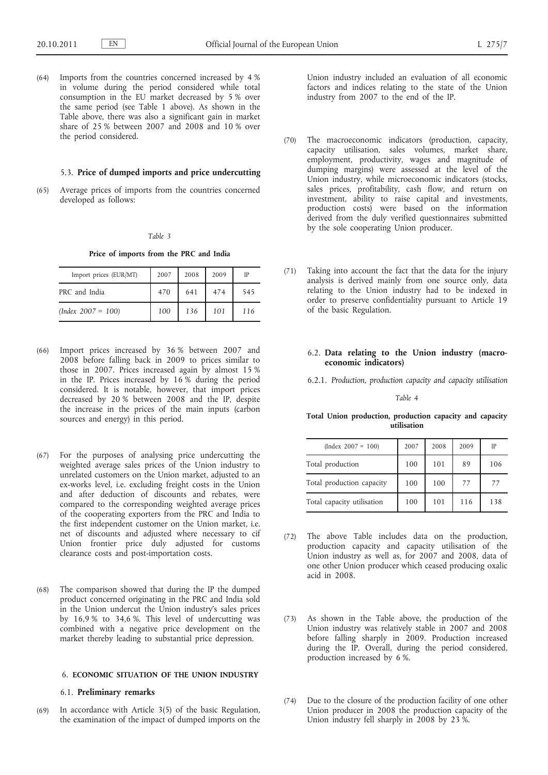(64) Imports from the countries concerned increased by 4 % in volume during the period considered while total consumption in the EU market decreased by 5 % over the same period (see Table 1 above). As shown in the Table above, there was also a significant gain in market share of 25 % between 2007 and 2008 and 10 % over the period considered.

#### 5.3. **Price of dumped imports and price undercutting**

(65) Average prices of imports from the countries concerned developed as follows:

### *Table 3*

**Price of imports from the PRC and India**

| Import prices (EUR/MT) | 2007 | 2008 | 2009 | IP  |
|------------------------|------|------|------|-----|
| PRC and India          | 470  | 641  | 474  | 545 |
| $(Index\ 2007 = 100)$  | 100  | 136  | 101  | 116 |

- (66) Import prices increased by 36 % between 2007 and 2008 before falling back in 2009 to prices similar to those in 2007. Prices increased again by almost 15 % in the IP. Prices increased by 16 % during the period considered. It is notable, however, that import prices decreased by 20 % between 2008 and the IP, despite the increase in the prices of the main inputs (carbon sources and energy) in this period.
- (67) For the purposes of analysing price undercutting the weighted average sales prices of the Union industry to unrelated customers on the Union market, adjusted to an ex-works level, i.e. excluding freight costs in the Union and after deduction of discounts and rebates, were compared to the corresponding weighted average prices of the cooperating exporters from the PRC and India to the first independent customer on the Union market, i.e. net of discounts and adjusted where necessary to cif Union frontier price duly adjusted for customs clearance costs and post-importation costs.
- (68) The comparison showed that during the IP the dumped product concerned originating in the PRC and India sold in the Union undercut the Union industry's sales prices by 16,9 % to 34,6 %. This level of undercutting was combined with a negative price development on the market thereby leading to substantial price depression.

### 6. **ECONOMIC SITUATION OF THE UNION INDUSTRY**

## 6.1. **Preliminary remarks**

(69) In accordance with Article 3(5) of the basic Regulation, the examination of the impact of dumped imports on the Union industry included an evaluation of all economic factors and indices relating to the state of the Union industry from 2007 to the end of the IP.

- (70) The macroeconomic indicators (production, capacity, capacity utilisation, sales volumes, market share, employment, productivity, wages and magnitude of dumping margins) were assessed at the level of the Union industry, while microeconomic indicators (stocks, sales prices, profitability, cash flow, and return on investment, ability to raise capital and investments, production costs) were based on the information derived from the duly verified questionnaires submitted by the sole cooperating Union producer.
- (71) Taking into account the fact that the data for the injury analysis is derived mainly from one source only, data relating to the Union industry had to be indexed in order to preserve confidentiality pursuant to Article 19 of the basic Regulation.

## 6.2. **Data relating to the Union industry (macroeconomic indicators)**

6.2.1. *Production, production capacity and capacity utilisation*

*Table 4*

### **Total Union production, production capacity and capacity utilisation**

| $(Index 2007 = 100)$       | 2007 | 2008 | 2009 | IP  |
|----------------------------|------|------|------|-----|
| Total production           | 100  | 101  | 89   | 106 |
| Total production capacity  | 100  | 100  | 77   | 77  |
| Total capacity utilisation | 100  | 101  | 116  | 138 |

- (72) The above Table includes data on the production, production capacity and capacity utilisation of the Union industry as well as, for 2007 and 2008, data of one other Union producer which ceased producing oxalic acid in 2008.
- (73) As shown in the Table above, the production of the Union industry was relatively stable in 2007 and 2008 before falling sharply in 2009. Production increased during the IP. Overall, during the period considered, production increased by 6 %.
- (74) Due to the closure of the production facility of one other Union producer in 2008 the production capacity of the Union industry fell sharply in 2008 by 23 %.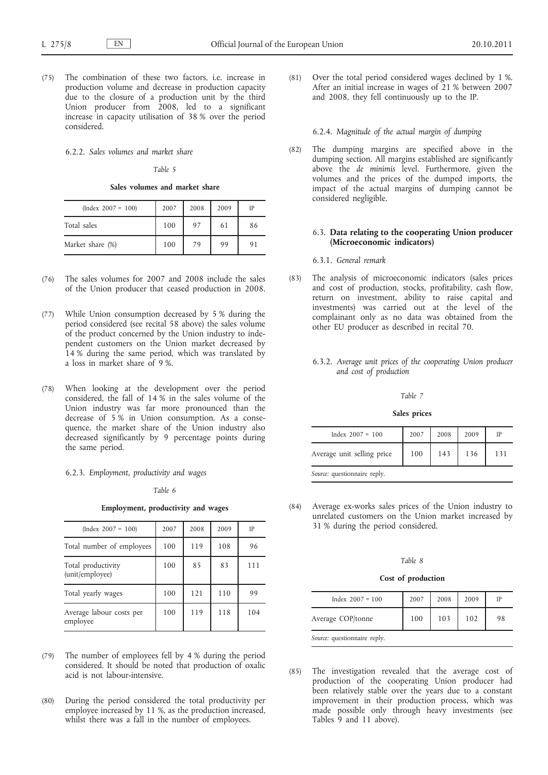(75) The combination of these two factors, i.e. increase in production volume and decrease in production capacity due to the closure of a production unit by the third Union producer from 2008, led to a significant increase in capacity utilisation of 38 % over the period considered.

6.2.2. *Sales volumes and market share*

#### *Table 5*

**Sales volumes and market share**

| $(Index 2007 = 100)$ | 2007 | 2008 | 2009 | IP |
|----------------------|------|------|------|----|
| Total sales          | 100  | 97   | 61   | 86 |
| Market share (%)     | 100  | 79   | 99   | 91 |

- (76) The sales volumes for 2007 and 2008 include the sales of the Union producer that ceased production in 2008.
- (77) While Union consumption decreased by 5 % during the period considered (see recital 58 above) the sales volume of the product concerned by the Union industry to independent customers on the Union market decreased by 14 % during the same period, which was translated by a loss in market share of 9 %.
- (78) When looking at the development over the period considered, the fall of 14 % in the sales volume of the Union industry was far more pronounced than the decrease of 5 % in Union consumption. As a consequence, the market share of the Union industry also decreased significantly by 9 percentage points during the same period.
	- 6.2.3. *Employment, productivity and wages*

### *Table 6*

**Employment, productivity and wages**

| $(Index 2007 = 100)$                  | 2007 | 2008 | 2009 | IP  |
|---------------------------------------|------|------|------|-----|
| Total number of employees             | 100  | 119  | 108  | 96  |
| Total productivity<br>(unit/employee) | 100  | 85   | 83   | 111 |
| Total yearly wages                    | 100  | 121  | 110  | 99  |
| Average labour costs per<br>employee  | 100  | 119  | 118  | 104 |

- (79) The number of employees fell by 4 % during the period considered. It should be noted that production of oxalic acid is not labour-intensive.
- (80) During the period considered the total productivity per employee increased by 11 %, as the production increased, whilst there was a fall in the number of employees.

(81) Over the total period considered wages declined by 1 %. After an initial increase in wages of 21 % between 2007 and 2008, they fell continuously up to the IP.

### 6.2.4. *Magnitude of the actual margin of dumping*

(82) The dumping margins are specified above in the dumping section. All margins established are significantly above the *de minimis* level. Furthermore, given the volumes and the prices of the dumped imports, the impact of the actual margins of dumping cannot be considered negligible.

### 6.3. **Data relating to the cooperating Union producer (Microeconomic indicators)**

6.3.1. *General remark*

- (83) The analysis of microeconomic indicators (sales prices and cost of production, stocks, profitability, cash flow, return on investment, ability to raise capital and investments) was carried out at the level of the complainant only as no data was obtained from the other EU producer as described in recital 70.
	- 6.3.2. *Average unit prices of the cooperating Union producer and cost of production*

### *Table 7*

#### **Sales prices**

| Index $2007 = 100$           | 2007 | 2008 | 2009 | IP  |
|------------------------------|------|------|------|-----|
| Average unit selling price   | 100  | 143  | 136  | 131 |
| Source: questionnaire reply. |      |      |      |     |

(84) Average ex-works sales prices of the Union industry to unrelated customers on the Union market increased by 31 % during the period considered.

#### *Table 8*

### **Cost of production**

| Index $2007 = 100$ | 2007 | 2008 | 2009 |    |
|--------------------|------|------|------|----|
| Average COP/tonne  | 100  | 103  | 102  | 98 |

*Source:* questionnaire reply.

(85) The investigation revealed that the average cost of production of the cooperating Union producer had been relatively stable over the years due to a constant improvement in their production process, which was made possible only through heavy investments (see Tables 9 and 11 above).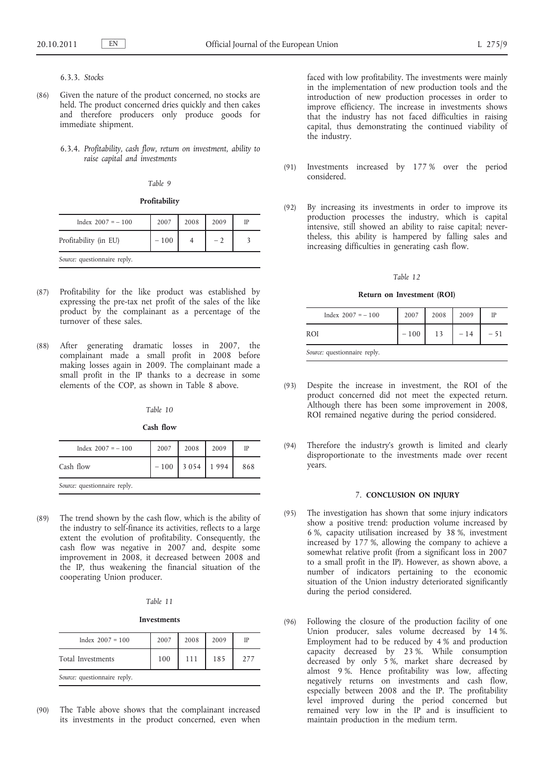### 6.3.3. *Stocks*

- (86) Given the nature of the product concerned, no stocks are held. The product concerned dries quickly and then cakes and therefore producers only produce goods for immediate shipment.
	- 6.3.4. *Profitability, cash flow, return on investment, ability to raise capital and investments*

#### *Table 9*

**Profitability**

| Index $2007 = -100$          | 2007   | 2008 | 2009 |  |
|------------------------------|--------|------|------|--|
| Profitability (in EU)        | $-100$ |      |      |  |
| Source: questionnaire reply. |        |      |      |  |

- (87) Profitability for the like product was established by expressing the pre-tax net profit of the sales of the like product by the complainant as a percentage of the turnover of these sales.
- (88) After generating dramatic losses in 2007, the complainant made a small profit in 2008 before making losses again in 2009. The complainant made a small profit in the IP thanks to a decrease in some elements of the COP, as shown in Table 8 above.

#### *Table 10*

#### **Cash flow**

| Index $2007 = -100$          | 2007   | 2008    | 2009 | IP  |
|------------------------------|--------|---------|------|-----|
| Cash flow                    | $-100$ | 3 0 5 4 | 1994 | 868 |
| Source: questionnaire reply. |        |         |      |     |

(89) The trend shown by the cash flow, which is the ability of the industry to self-finance its activities, reflects to a large extent the evolution of profitability. Consequently, the cash flow was negative in 2007 and, despite some improvement in 2008, it decreased between 2008 and the IP, thus weakening the financial situation of the cooperating Union producer.

|--|

#### **Investments**

| Index $2007 = 100$           | 2007 | 2008 | 2009 | IP  |  |  |
|------------------------------|------|------|------|-----|--|--|
| Total Investments            | 100  | 111  | 185  | 277 |  |  |
| Source: questionnaire reply. |      |      |      |     |  |  |

(90) The Table above shows that the complainant increased its investments in the product concerned, even when

faced with low profitability. The investments were mainly in the implementation of new production tools and the introduction of new production processes in order to improve efficiency. The increase in investments shows that the industry has not faced difficulties in raising capital, thus demonstrating the continued viability of the industry.

- (91) Investments increased by 177 % over the period considered.
- (92) By increasing its investments in order to improve its production processes the industry, which is capital intensive, still showed an ability to raise capital; nevertheless, this ability is hampered by falling sales and increasing difficulties in generating cash flow.

#### *Table 12*

#### **Return on Investment (ROI)**

| Index $2007 = -100$          | 2007   | 2008 | 2009  | IP    |
|------------------------------|--------|------|-------|-------|
| ROI                          | $-100$ | 13   | $-14$ | $-51$ |
| Source: questionnaire reply. |        |      |       |       |

- (93) Despite the increase in investment, the ROI of the product concerned did not meet the expected return. Although there has been some improvement in 2008, ROI remained negative during the period considered.
- (94) Therefore the industry's growth is limited and clearly disproportionate to the investments made over recent years.

#### 7. **CONCLUSION ON INJURY**

- (95) The investigation has shown that some injury indicators show a positive trend: production volume increased by 6 %, capacity utilisation increased by 38 %, investment increased by 177 %, allowing the company to achieve a somewhat relative profit (from a significant loss in 2007 to a small profit in the IP). However, as shown above, a number of indicators pertaining to the economic situation of the Union industry deteriorated significantly during the period considered.
- (96) Following the closure of the production facility of one Union producer, sales volume decreased by 14 %. Employment had to be reduced by 4 % and production capacity decreased by 23 %. While consumption decreased by only 5 %, market share decreased by almost 9 %. Hence profitability was low, affecting negatively returns on investments and cash flow, especially between 2008 and the IP. The profitability level improved during the period concerned but remained very low in the IP and is insufficient to maintain production in the medium term.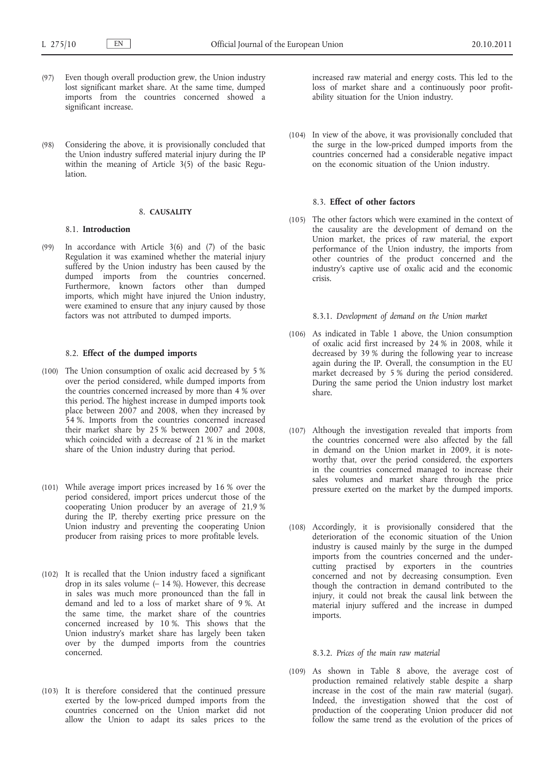- (97) Even though overall production grew, the Union industry lost significant market share. At the same time, dumped imports from the countries concerned showed a significant increase.
- (98) Considering the above, it is provisionally concluded that the Union industry suffered material injury during the IP within the meaning of Article 3(5) of the basic Regulation.

### 8. **CAUSALITY**

#### 8.1. **Introduction**

(99) In accordance with Article 3(6) and (7) of the basic Regulation it was examined whether the material injury suffered by the Union industry has been caused by the dumped imports from the countries concerned. Furthermore, known factors other than dumped imports, which might have injured the Union industry, were examined to ensure that any injury caused by those factors was not attributed to dumped imports.

### 8.2. **Effect of the dumped imports**

- (100) The Union consumption of oxalic acid decreased by 5 % over the period considered, while dumped imports from the countries concerned increased by more than 4 % over this period. The highest increase in dumped imports took place between 2007 and 2008, when they increased by 54 %. Imports from the countries concerned increased their market share by 25 % between 2007 and 2008, which coincided with a decrease of 21 % in the market share of the Union industry during that period.
- (101) While average import prices increased by 16 % over the period considered, import prices undercut those of the cooperating Union producer by an average of 21,9 % during the IP, thereby exerting price pressure on the Union industry and preventing the cooperating Union producer from raising prices to more profitable levels.
- (102) It is recalled that the Union industry faced a significant drop in its sales volume  $(-14\%)$ . However, this decrease in sales was much more pronounced than the fall in demand and led to a loss of market share of 9 %. At the same time, the market share of the countries concerned increased by 10 %. This shows that the Union industry's market share has largely been taken over by the dumped imports from the countries concerned.
- (103) It is therefore considered that the continued pressure exerted by the low-priced dumped imports from the countries concerned on the Union market did not allow the Union to adapt its sales prices to the

increased raw material and energy costs. This led to the loss of market share and a continuously poor profitability situation for the Union industry.

(104) In view of the above, it was provisionally concluded that the surge in the low-priced dumped imports from the countries concerned had a considerable negative impact on the economic situation of the Union industry.

## 8.3. **Effect of other factors**

(105) The other factors which were examined in the context of the causality are the development of demand on the Union market, the prices of raw material, the export performance of the Union industry, the imports from other countries of the product concerned and the industry's captive use of oxalic acid and the economic crisis.

### 8.3.1. *Development of demand on the Union market*

- (106) As indicated in Table 1 above, the Union consumption of oxalic acid first increased by 24 % in 2008, while it decreased by 39 % during the following year to increase again during the IP. Overall, the consumption in the EU market decreased by 5 % during the period considered. During the same period the Union industry lost market share.
- (107) Although the investigation revealed that imports from the countries concerned were also affected by the fall in demand on the Union market in 2009, it is noteworthy that, over the period considered, the exporters in the countries concerned managed to increase their sales volumes and market share through the price pressure exerted on the market by the dumped imports.
- (108) Accordingly, it is provisionally considered that the deterioration of the economic situation of the Union industry is caused mainly by the surge in the dumped imports from the countries concerned and the undercutting practised by exporters in the countries concerned and not by decreasing consumption. Even though the contraction in demand contributed to the injury, it could not break the causal link between the material injury suffered and the increase in dumped imports.

#### 8.3.2. *Prices of the main raw material*

(109) As shown in Table 8 above, the average cost of production remained relatively stable despite a sharp increase in the cost of the main raw material (sugar). Indeed, the investigation showed that the cost of production of the cooperating Union producer did not follow the same trend as the evolution of the prices of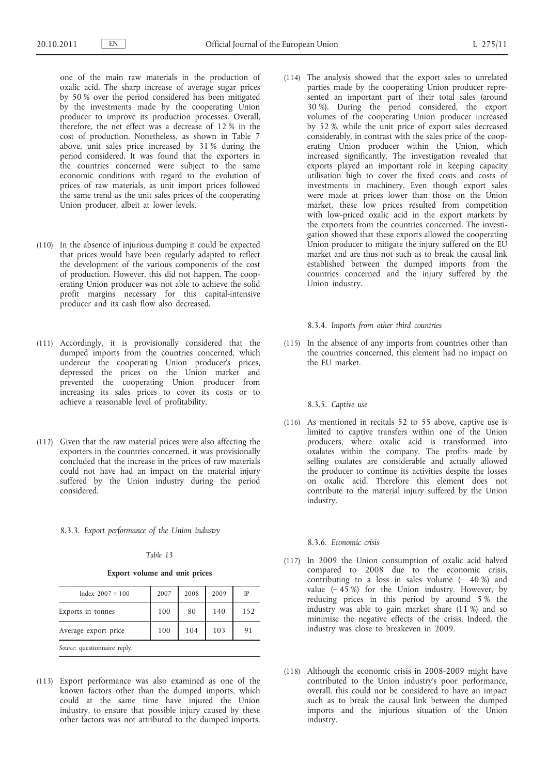one of the main raw materials in the production of oxalic acid. The sharp increase of average sugar prices by 50 % over the period considered has been mitigated by the investments made by the cooperating Union producer to improve its production processes. Overall, therefore, the net effect was a decrease of 12 % in the cost of production. Nonetheless, as shown in Table 7 above, unit sales price increased by 31 % during the period considered. It was found that the exporters in the countries concerned were subject to the same economic conditions with regard to the evolution of prices of raw materials, as unit import prices followed the same trend as the unit sales prices of the cooperating Union producer, albeit at lower levels.

- (110) In the absence of injurious dumping it could be expected that prices would have been regularly adapted to reflect the development of the various components of the cost of production. However, this did not happen. The cooperating Union producer was not able to achieve the solid profit margins necessary for this capital-intensive producer and its cash flow also decreased.
- (111) Accordingly, it is provisionally considered that the dumped imports from the countries concerned, which undercut the cooperating Union producer's prices, depressed the prices on the Union market and prevented the cooperating Union producer from increasing its sales prices to cover its costs or to achieve a reasonable level of profitability.
- (112) Given that the raw material prices were also affecting the exporters in the countries concerned, it was provisionally concluded that the increase in the prices of raw materials could not have had an impact on the material injury suffered by the Union industry during the period considered.

8.3.3. *Export performance of the Union industry*

#### *Table 13*

**Export volume and unit prices**

| Index $2007 = 100$           | 2007 | 2008 | 2009 | IP  |  |
|------------------------------|------|------|------|-----|--|
| Exports in tonnes            | 100  | 80   | 140  | 152 |  |
| Average export price         | 100  | 104  | 103  | 91  |  |
| Source: questionnaire reply. |      |      |      |     |  |

(113) Export performance was also examined as one of the known factors other than the dumped imports, which could at the same time have injured the Union industry, to ensure that possible injury caused by these other factors was not attributed to the dumped imports.

(114) The analysis showed that the export sales to unrelated parties made by the cooperating Union producer represented an important part of their total sales (around 30 %). During the period considered, the export volumes of the cooperating Union producer increased by 52 %, while the unit price of export sales decreased considerably, in contrast with the sales price of the cooperating Union producer within the Union, which increased significantly. The investigation revealed that exports played an important role in keeping capacity utilisation high to cover the fixed costs and costs of investments in machinery. Even though export sales were made at prices lower than those on the Union market, these low prices resulted from competition with low-priced oxalic acid in the export markets by the exporters from the countries concerned. The investigation showed that these exports allowed the cooperating Union producer to mitigate the injury suffered on the EU market and are thus not such as to break the causal link established between the dumped imports from the countries concerned and the injury suffered by the Union industry.

#### 8.3.4. *Imports from other third countries*

(115) In the absence of any imports from countries other than the countries concerned, this element had no impact on the EU market.

#### 8.3.5. *Captive use*

(116) As mentioned in recitals 52 to 55 above, captive use is limited to captive transfers within one of the Union producers, where oxalic acid is transformed into oxalates within the company. The profits made by selling oxalates are considerable and actually allowed the producer to continue its activities despite the losses on oxalic acid. Therefore this element does not contribute to the material injury suffered by the Union industry.

#### 8.3.6. *Economic crisis*

- (117) In 2009 the Union consumption of oxalic acid halved compared to 2008 due to the economic crisis, contributing to a loss in sales volume (– 40 %) and value  $(-45\%)$  for the Union industry. However, by reducing prices in this period by around 5 % the industry was able to gain market share (11 %) and so minimise the negative effects of the crisis. Indeed, the industry was close to breakeven in 2009.
- (118) Although the economic crisis in 2008-2009 might have contributed to the Union industry's poor performance, overall, this could not be considered to have an impact such as to break the causal link between the dumped imports and the injurious situation of the Union industry.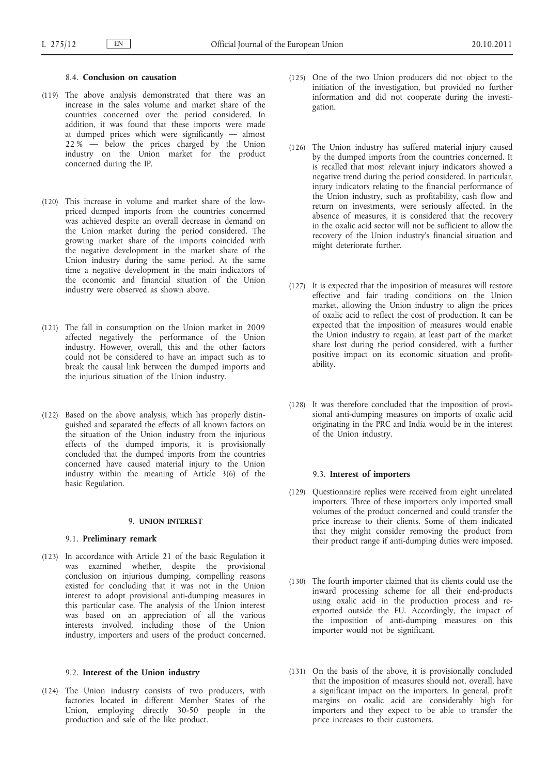### 8.4. **Conclusion on causation**

- (119) The above analysis demonstrated that there was an increase in the sales volume and market share of the countries concerned over the period considered. In addition, it was found that these imports were made at dumped prices which were significantly — almost  $22\%$  — below the prices charged by the Union industry on the Union market for the product concerned during the IP.
- (120) This increase in volume and market share of the lowpriced dumped imports from the countries concerned was achieved despite an overall decrease in demand on the Union market during the period considered. The growing market share of the imports coincided with the negative development in the market share of the Union industry during the same period. At the same time a negative development in the main indicators of the economic and financial situation of the Union industry were observed as shown above.
- (121) The fall in consumption on the Union market in 2009 affected negatively the performance of the Union industry. However, overall, this and the other factors could not be considered to have an impact such as to break the causal link between the dumped imports and the injurious situation of the Union industry.
- (122) Based on the above analysis, which has properly distinguished and separated the effects of all known factors on the situation of the Union industry from the injurious effects of the dumped imports, it is provisionally concluded that the dumped imports from the countries concerned have caused material injury to the Union industry within the meaning of Article 3(6) of the basic Regulation.

## 9. **UNION INTEREST**

## 9.1. **Preliminary remark**

(123) In accordance with Article 21 of the basic Regulation it was examined whether, despite the provisional conclusion on injurious dumping, compelling reasons existed for concluding that it was not in the Union interest to adopt provisional anti-dumping measures in this particular case. The analysis of the Union interest was based on an appreciation of all the various interests involved, including those of the Union industry, importers and users of the product concerned.

## 9.2. **Interest of the Union industry**

(124) The Union industry consists of two producers, with factories located in different Member States of the Union, employing directly 30-50 people in the production and sale of the like product.

- (125) One of the two Union producers did not object to the initiation of the investigation, but provided no further information and did not cooperate during the investigation.
- (126) The Union industry has suffered material injury caused by the dumped imports from the countries concerned. It is recalled that most relevant injury indicators showed a negative trend during the period considered. In particular, injury indicators relating to the financial performance of the Union industry, such as profitability, cash flow and return on investments, were seriously affected. In the absence of measures, it is considered that the recovery in the oxalic acid sector will not be sufficient to allow the recovery of the Union industry's financial situation and might deteriorate further.
- (127) It is expected that the imposition of measures will restore effective and fair trading conditions on the Union market, allowing the Union industry to align the prices of oxalic acid to reflect the cost of production. It can be expected that the imposition of measures would enable the Union industry to regain, at least part of the market share lost during the period considered, with a further positive impact on its economic situation and profitability.
- (128) It was therefore concluded that the imposition of provisional anti-dumping measures on imports of oxalic acid originating in the PRC and India would be in the interest of the Union industry.

### 9.3. **Interest of importers**

- (129) Questionnaire replies were received from eight unrelated importers. Three of these importers only imported small volumes of the product concerned and could transfer the price increase to their clients. Some of them indicated that they might consider removing the product from their product range if anti-dumping duties were imposed.
- (130) The fourth importer claimed that its clients could use the inward processing scheme for all their end-products using oxalic acid in the production process and reexported outside the EU. Accordingly, the impact of the imposition of anti-dumping measures on this importer would not be significant.
- (131) On the basis of the above, it is provisionally concluded that the imposition of measures should not, overall, have a significant impact on the importers. In general, profit margins on oxalic acid are considerably high for importers and they expect to be able to transfer the price increases to their customers.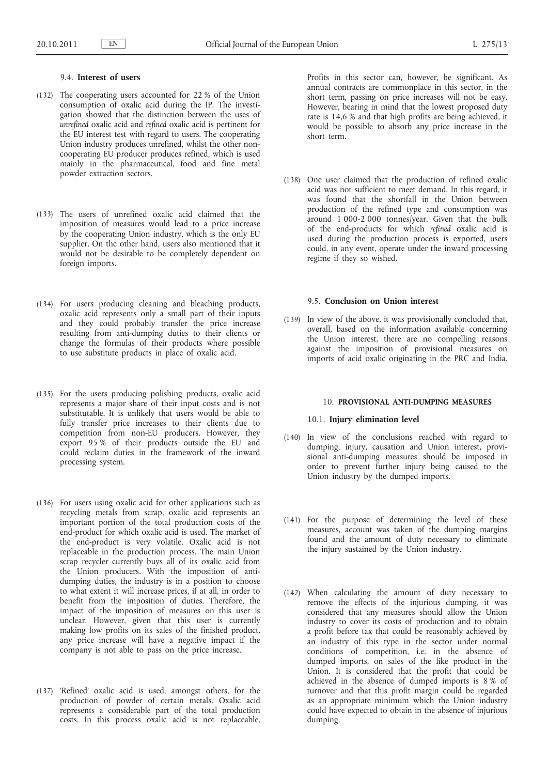### 9.4. **Interest of users**

- (132) The cooperating users accounted for 22 % of the Union consumption of oxalic acid during the IP. The investigation showed that the distinction between the uses of *unrefined* oxalic acid and *refined* oxalic acid is pertinent for the EU interest test with regard to users. The cooperating Union industry produces unrefined, whilst the other noncooperating EU producer produces refined, which is used mainly in the pharmaceutical, food and fine metal powder extraction sectors.
- (133) The users of unrefined oxalic acid claimed that the imposition of measures would lead to a price increase by the cooperating Union industry, which is the only EU supplier. On the other hand, users also mentioned that it would not be desirable to be completely dependent on foreign imports.
- (134) For users producing cleaning and bleaching products, oxalic acid represents only a small part of their inputs and they could probably transfer the price increase resulting from anti-dumping duties to their clients or change the formulas of their products where possible to use substitute products in place of oxalic acid.
- (135) For the users producing polishing products, oxalic acid represents a major share of their input costs and is not substitutable. It is unlikely that users would be able to fully transfer price increases to their clients due to competition from non-EU producers. However, they export 95 % of their products outside the EU and could reclaim duties in the framework of the inward processing system.
- (136) For users using oxalic acid for other applications such as recycling metals from scrap, oxalic acid represents an important portion of the total production costs of the end-product for which oxalic acid is used. The market of the end-product is very volatile. Oxalic acid is not replaceable in the production process. The main Union scrap recycler currently buys all of its oxalic acid from the Union producers. With the imposition of antidumping duties, the industry is in a position to choose to what extent it will increase prices, if at all, in order to benefit from the imposition of duties. Therefore, the impact of the imposition of measures on this user is unclear. However, given that this user is currently making low profits on its sales of the finished product, any price increase will have a negative impact if the company is not able to pass on the price increase.
- (137) 'Refined' oxalic acid is used, amongst others, for the production of powder of certain metals. Oxalic acid represents a considerable part of the total production costs. In this process oxalic acid is not replaceable.

Profits in this sector can, however, be significant. As annual contracts are commonplace in this sector, in the short term, passing on price increases will not be easy. However, bearing in mind that the lowest proposed duty rate is 14,6 % and that high profits are being achieved, it would be possible to absorb any price increase in the short term.

(138) One user claimed that the production of refined oxalic acid was not sufficient to meet demand. In this regard, it was found that the shortfall in the Union between production of the refined type and consumption was around 1 000-2 000 tonnes/year. Given that the bulk of the end-products for which *refined* oxalic acid is used during the production process is exported, users could, in any event, operate under the inward processing regime if they so wished.

### 9.5. **Conclusion on Union interest**

(139) In view of the above, it was provisionally concluded that, overall, based on the information available concerning the Union interest, there are no compelling reasons against the imposition of provisional measures on imports of acid oxalic originating in the PRC and India.

### 10. **PROVISIONAL ANTI-DUMPING MEASURES**

## 10.1. **Injury elimination level**

- (140) In view of the conclusions reached with regard to dumping, injury, causation and Union interest, provisional anti-dumping measures should be imposed in order to prevent further injury being caused to the Union industry by the dumped imports.
- (141) For the purpose of determining the level of these measures, account was taken of the dumping margins found and the amount of duty necessary to eliminate the injury sustained by the Union industry.
- (142) When calculating the amount of duty necessary to remove the effects of the injurious dumping, it was considered that any measures should allow the Union industry to cover its costs of production and to obtain a profit before tax that could be reasonably achieved by an industry of this type in the sector under normal conditions of competition, i.e. in the absence of dumped imports, on sales of the like product in the Union. It is considered that the profit that could be achieved in the absence of dumped imports is 8 % of turnover and that this profit margin could be regarded as an appropriate minimum which the Union industry could have expected to obtain in the absence of injurious dumping.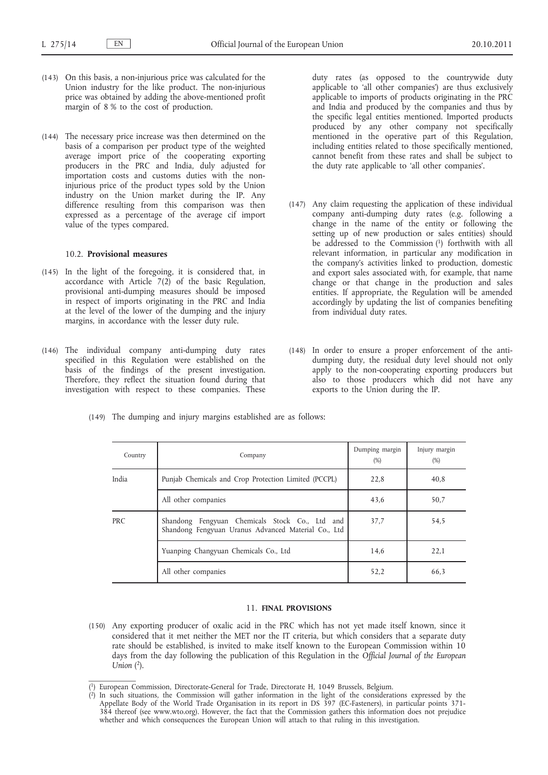- (143) On this basis, a non-injurious price was calculated for the Union industry for the like product. The non-injurious price was obtained by adding the above-mentioned profit margin of 8 % to the cost of production.
- (144) The necessary price increase was then determined on the basis of a comparison per product type of the weighted average import price of the cooperating exporting producers in the PRC and India, duly adjusted for importation costs and customs duties with the noninjurious price of the product types sold by the Union industry on the Union market during the IP. Any difference resulting from this comparison was then expressed as a percentage of the average cif import value of the types compared.

### 10.2. **Provisional measures**

- (145) In the light of the foregoing, it is considered that, in accordance with Article  $7(2)$  of the basic Regulation, provisional anti-dumping measures should be imposed in respect of imports originating in the PRC and India at the level of the lower of the dumping and the injury margins, in accordance with the lesser duty rule.
- (146) The individual company anti-dumping duty rates specified in this Regulation were established on the basis of the findings of the present investigation. Therefore, they reflect the situation found during that investigation with respect to these companies. These

duty rates (as opposed to the countrywide duty applicable to 'all other companies') are thus exclusively applicable to imports of products originating in the PRC and India and produced by the companies and thus by the specific legal entities mentioned. Imported products produced by any other company not specifically mentioned in the operative part of this Regulation, including entities related to those specifically mentioned, cannot benefit from these rates and shall be subject to the duty rate applicable to 'all other companies'.

- (147) Any claim requesting the application of these individual company anti-dumping duty rates (e.g. following a change in the name of the entity or following the setting up of new production or sales entities) should be addressed to the Commission (1) forthwith with all relevant information, in particular any modification in the company's activities linked to production, domestic and export sales associated with, for example, that name change or that change in the production and sales entities. If appropriate, the Regulation will be amended accordingly by updating the list of companies benefiting from individual duty rates.
- (148) In order to ensure a proper enforcement of the antidumping duty, the residual duty level should not only apply to the non-cooperating exporting producers but also to those producers which did not have any exports to the Union during the IP.

|       |  |  | The dumping and injury margins established are as follows: |  |  |
|-------|--|--|------------------------------------------------------------|--|--|
| (149) |  |  |                                                            |  |  |
|       |  |  |                                                            |  |  |
|       |  |  |                                                            |  |  |

| Country    | Company                                                                                               | Dumping margin<br>$(\%)$ | Injury margin<br>$(\%)$ |
|------------|-------------------------------------------------------------------------------------------------------|--------------------------|-------------------------|
| India      | Punjab Chemicals and Crop Protection Limited (PCCPL)                                                  | 22,8                     | 40,8                    |
|            | All other companies                                                                                   | 43,6                     | 50,7                    |
| <b>PRC</b> | Shandong Fengyuan Chemicals Stock Co., Ltd and<br>Shandong Fengyuan Uranus Advanced Material Co., Ltd | 37.7                     | 54,5                    |
|            | Yuanping Changyuan Chemicals Co., Ltd                                                                 | 14,6                     | 22,1                    |
|            | All other companies                                                                                   | 52,2                     | 66,3                    |

## 11. **FINAL PROVISIONS**

(150) Any exporting producer of oxalic acid in the PRC which has not yet made itself known, since it considered that it met neither the MET nor the IT criteria, but which considers that a separate duty rate should be established, is invited to make itself known to the European Commission within 10 days from the day following the publication of this Regulation in the *Official Journal of the European Union* (2).

<sup>(</sup> 1) European Commission, Directorate-General for Trade, Directorate H, 1049 Brussels, Belgium.

<sup>(</sup> 2) In such situations, the Commission will gather information in the light of the considerations expressed by the Appellate Body of the World Trade Organisation in its report in DS 397 (EC-Fasteners), in particular points 371- 384 thereof (see [www.wto.org](http://www.wto.org)). However, the fact that the Commission gathers this information does not prejudice whether and which consequences the European Union will attach to that ruling in this investigation.